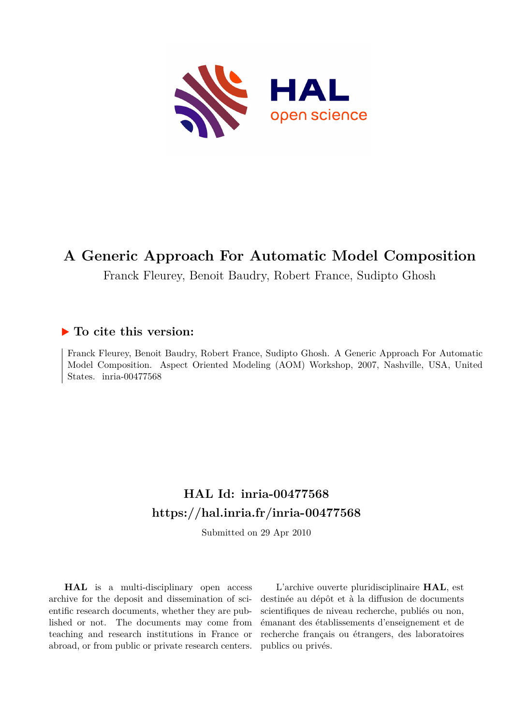

## **A Generic Approach For Automatic Model Composition**

Franck Fleurey, Benoit Baudry, Robert France, Sudipto Ghosh

## **To cite this version:**

Franck Fleurey, Benoit Baudry, Robert France, Sudipto Ghosh. A Generic Approach For Automatic Model Composition. Aspect Oriented Modeling (AOM) Workshop, 2007, Nashville, USA, United States. inria-00477568

# **HAL Id: inria-00477568 <https://hal.inria.fr/inria-00477568>**

Submitted on 29 Apr 2010

**HAL** is a multi-disciplinary open access archive for the deposit and dissemination of scientific research documents, whether they are published or not. The documents may come from teaching and research institutions in France or abroad, or from public or private research centers.

L'archive ouverte pluridisciplinaire **HAL**, est destinée au dépôt et à la diffusion de documents scientifiques de niveau recherche, publiés ou non, émanant des établissements d'enseignement et de recherche français ou étrangers, des laboratoires publics ou privés.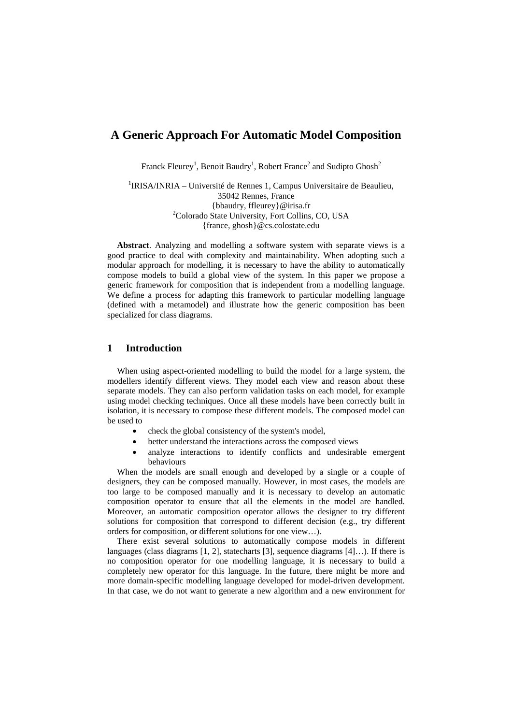## **A Generic Approach For Automatic Model Composition**

Franck Fleurey<sup>1</sup>, Benoit Baudry<sup>1</sup>, Robert France<sup>2</sup> and Sudipto Ghosh<sup>2</sup>

<sup>1</sup>IRISA/INRIA – Université de Rennes 1, Campus Universitaire de Beaulieu, 35042 Rennes, France {bbaudry, ffleurey}@irisa.fr 2 <sup>2</sup>Colorado State University, Fort Collins, CO, USA {france, ghosh}@cs.colostate.edu

**Abstract**. Analyzing and modelling a software system with separate views is a good practice to deal with complexity and maintainability. When adopting such a modular approach for modelling, it is necessary to have the ability to automatically compose models to build a global view of the system. In this paper we propose a generic framework for composition that is independent from a modelling language. We define a process for adapting this framework to particular modelling language (defined with a metamodel) and illustrate how the generic composition has been specialized for class diagrams.

## **1 Introduction**

When using aspect-oriented modelling to build the model for a large system, the modellers identify different views. They model each view and reason about these separate models. They can also perform validation tasks on each model, for example using model checking techniques. Once all these models have been correctly built in isolation, it is necessary to compose these different models. The composed model can be used to

- check the global consistency of the system's model,
- better understand the interactions across the composed views
- analyze interactions to identify conflicts and undesirable emergent behaviours

When the models are small enough and developed by a single or a couple of designers, they can be composed manually. However, in most cases, the models are too large to be composed manually and it is necessary to develop an automatic composition operator to ensure that all the elements in the model are handled. Moreover, an automatic composition operator allows the designer to try different solutions for composition that correspond to different decision (e.g., try different orders for composition, or different solutions for one view…).

There exist several solutions to automatically compose models in different languages (class diagrams [1, 2], statecharts [3], sequence diagrams [4]…). If there is no composition operator for one modelling language, it is necessary to build a completely new operator for this language. In the future, there might be more and more domain-specific modelling language developed for model-driven development. In that case, we do not want to generate a new algorithm and a new environment for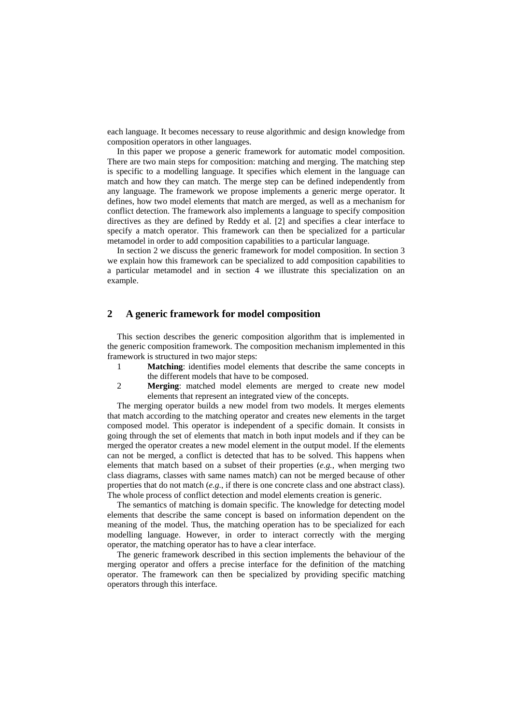each language. It becomes necessary to reuse algorithmic and design knowledge from composition operators in other languages.

In this paper we propose a generic framework for automatic model composition. There are two main steps for composition: matching and merging. The matching step is specific to a modelling language. It specifies which element in the language can match and how they can match. The merge step can be defined independently from any language. The framework we propose implements a generic merge operator. It defines, how two model elements that match are merged, as well as a mechanism for conflict detection. The framework also implements a language to specify composition directives as they are defined by Reddy et al. [2] and specifies a clear interface to specify a match operator. This framework can then be specialized for a particular metamodel in order to add composition capabilities to a particular language.

In section 2 we discuss the generic framework for model composition. In section 3 we explain how this framework can be specialized to add composition capabilities to a particular metamodel and in section 4 we illustrate this specialization on an example.

### **2 A generic framework for model composition**

This section describes the generic composition algorithm that is implemented in the generic composition framework. The composition mechanism implemented in this framework is structured in two major steps:

- 1 **Matching**: identifies model elements that describe the same concepts in the different models that have to be composed.
- 2 **Merging**: matched model elements are merged to create new model elements that represent an integrated view of the concepts.

The merging operator builds a new model from two models. It merges elements that match according to the matching operator and creates new elements in the target composed model. This operator is independent of a specific domain. It consists in going through the set of elements that match in both input models and if they can be merged the operator creates a new model element in the output model. If the elements can not be merged, a conflict is detected that has to be solved. This happens when elements that match based on a subset of their properties (*e.g.*, when merging two class diagrams, classes with same names match) can not be merged because of other properties that do not match (*e.g.*, if there is one concrete class and one abstract class). The whole process of conflict detection and model elements creation is generic.

The semantics of matching is domain specific. The knowledge for detecting model elements that describe the same concept is based on information dependent on the meaning of the model. Thus, the matching operation has to be specialized for each modelling language. However, in order to interact correctly with the merging operator, the matching operator has to have a clear interface.

The generic framework described in this section implements the behaviour of the merging operator and offers a precise interface for the definition of the matching operator. The framework can then be specialized by providing specific matching operators through this interface.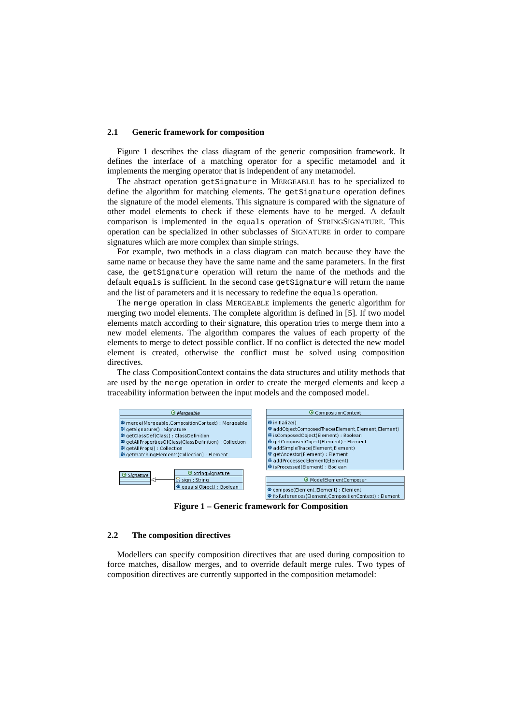#### **2.1 Generic framework for composition**

Figure 1 describes the class diagram of the generic composition framework. It defines the interface of a matching operator for a specific metamodel and it implements the merging operator that is independent of any metamodel.

The abstract operation getSignature in MERGEABLE has to be specialized to define the algorithm for matching elements. The getSignature operation defines the signature of the model elements. This signature is compared with the signature of other model elements to check if these elements have to be merged. A default comparison is implemented in the equals operation of STRINGSIGNATURE. This operation can be specialized in other subclasses of SIGNATURE in order to compare signatures which are more complex than simple strings.

For example, two methods in a class diagram can match because they have the same name or because they have the same name and the same parameters. In the first case, the getSignature operation will return the name of the methods and the default equals is sufficient. In the second case getSignature will return the name and the list of parameters and it is necessary to redefine the equals operation.

The merge operation in class MERGEABLE implements the generic algorithm for merging two model elements. The complete algorithm is defined in [5]. If two model elements match according to their signature, this operation tries to merge them into a new model elements. The algorithm compares the values of each property of the elements to merge to detect possible conflict. If no conflict is detected the new model element is created, otherwise the conflict must be solved using composition directives.

The class CompositionContext contains the data structures and utility methods that are used by the merge operation in order to create the merged elements and keep a traceability information between the input models and the composed model.



**Figure 1 – Generic framework for Composition** 

#### **2.2 The composition directives**

Modellers can specify composition directives that are used during composition to force matches, disallow merges, and to override default merge rules. Two types of composition directives are currently supported in the composition metamodel: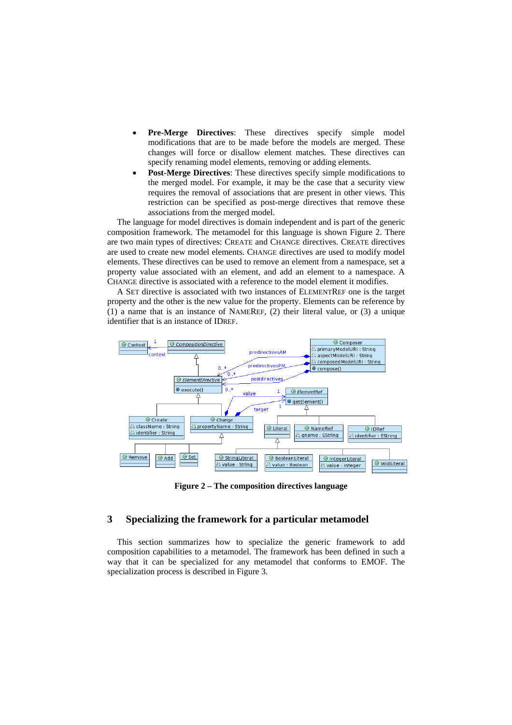- **Pre-Merge Directives:** These directives specify simple model modifications that are to be made before the models are merged. These changes will force or disallow element matches. These directives can specify renaming model elements, removing or adding elements.
- **Post-Merge Directives**: These directives specify simple modifications to the merged model. For example, it may be the case that a security view requires the removal of associations that are present in other views. This restriction can be specified as post-merge directives that remove these associations from the merged model.

The language for model directives is domain independent and is part of the generic composition framework. The metamodel for this language is shown Figure 2. There are two main types of directives: CREATE and CHANGE directives. CREATE directives are used to create new model elements. CHANGE directives are used to modify model elements. These directives can be used to remove an element from a namespace, set a property value associated with an element, and add an element to a namespace. A CHANGE directive is associated with a reference to the model element it modifies.

A SET directive is associated with two instances of ELEMENTREF one is the target property and the other is the new value for the property. Elements can be reference by (1) a name that is an instance of NAMEREF, (2) their literal value, or (3) a unique identifier that is an instance of IDREF.



**Figure 2 – The composition directives language** 

## **3 Specializing the framework for a particular metamodel**

This section summarizes how to specialize the generic framework to add composition capabilities to a metamodel. The framework has been defined in such a way that it can be specialized for any metamodel that conforms to EMOF. The specialization process is described in Figure 3.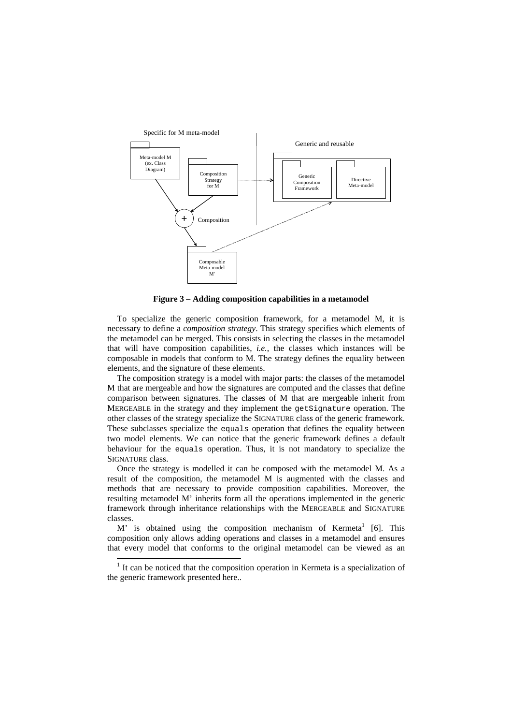

**Figure 3 – Adding composition capabilities in a metamodel** 

To specialize the generic composition framework, for a metamodel M, it is necessary to define a *composition strategy*. This strategy specifies which elements of the metamodel can be merged. This consists in selecting the classes in the metamodel that will have composition capabilities, *i.e.*, the classes which instances will be composable in models that conform to M. The strategy defines the equality between elements, and the signature of these elements.

The composition strategy is a model with major parts: the classes of the metamodel M that are mergeable and how the signatures are computed and the classes that define comparison between signatures. The classes of M that are mergeable inherit from MERGEABLE in the strategy and they implement the getSignature operation. The other classes of the strategy specialize the SIGNATURE class of the generic framework. These subclasses specialize the equals operation that defines the equality between two model elements. We can notice that the generic framework defines a default behaviour for the equals operation. Thus, it is not mandatory to specialize the SIGNATURE class.

Once the strategy is modelled it can be composed with the metamodel M. As a result of the composition, the metamodel M is augmented with the classes and methods that are necessary to provide composition capabilities. Moreover, the resulting metamodel M' inherits form all the operations implemented in the generic framework through inheritance relationships with the MERGEABLE and SIGNATURE classes.

M' is obtained using the composition mechanism of Kermeta<sup>1</sup> [6]. This composition only allows adding operations and classes in a metamodel and ensures that every model that conforms to the original metamodel can be viewed as an

l

 $<sup>1</sup>$  It can be noticed that the composition operation in Kermeta is a specialization of</sup> the generic framework presented here..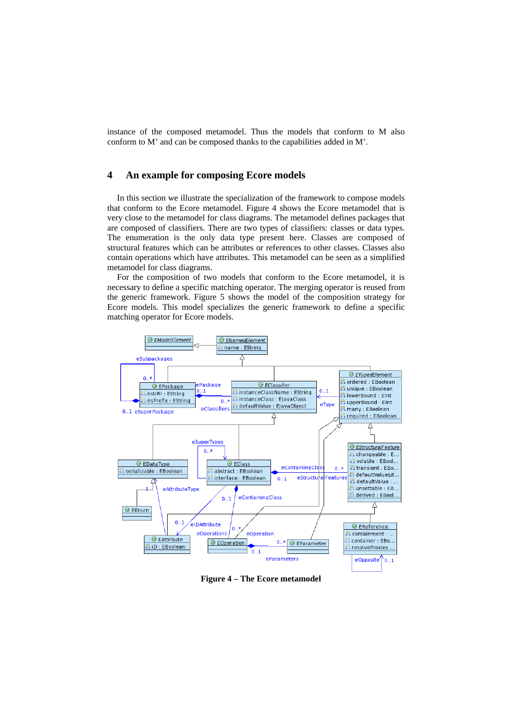instance of the composed metamodel. Thus the models that conform to M also conform to M' and can be composed thanks to the capabilities added in M'.

## **4 An example for composing Ecore models**

In this section we illustrate the specialization of the framework to compose models that conform to the Ecore metamodel. Figure 4 shows the Ecore metamodel that is very close to the metamodel for class diagrams. The metamodel defines packages that are composed of classifiers. There are two types of classifiers: classes or data types. The enumeration is the only data type present here. Classes are composed of structural features which can be attributes or references to other classes. Classes also contain operations which have attributes. This metamodel can be seen as a simplified metamodel for class diagrams.

For the composition of two models that conform to the Ecore metamodel, it is necessary to define a specific matching operator. The merging operator is reused from the generic framework. Figure 5 shows the model of the composition strategy for Ecore models. This model specializes the generic framework to define a specific matching operator for Ecore models.



**Figure 4 – The Ecore metamodel**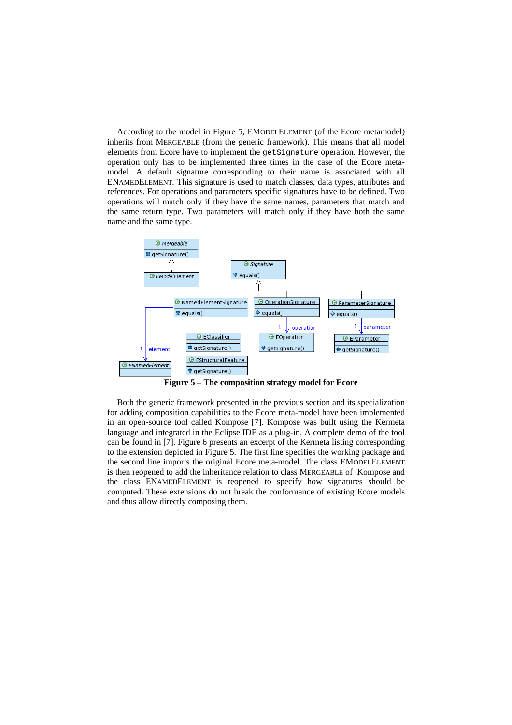According to the model in Figure 5, EMODELELEMENT (of the Ecore metamodel) inherits from MERGEABLE (from the generic framework). This means that all model elements from Ecore have to implement the getSignature operation. However, the operation only has to be implemented three times in the case of the Ecore metamodel. A default signature corresponding to their name is associated with all ENAMEDELEMENT. This signature is used to match classes, data types, attributes and references. For operations and parameters specific signatures have to be defined. Two operations will match only if they have the same names, parameters that match and the same return type. Two parameters will match only if they have both the same name and the same type.



**Figure 5 – The composition strategy model for Ecore** 

Both the generic framework presented in the previous section and its specialization for adding composition capabilities to the Ecore meta-model have been implemented in an open-source tool called Kompose [7]. Kompose was built using the Kermeta language and integrated in the Eclipse IDE as a plug-in. A complete demo of the tool can be found in [7]. Figure 6 presents an excerpt of the Kermeta listing corresponding to the extension depicted in Figure 5. The first line specifies the working package and the second line imports the original Ecore meta-model. The class EMODELELEMENT is then reopened to add the inheritance relation to class MERGEABLE of Kompose and the class ENAMEDELEMENT is reopened to specify how signatures should be computed. These extensions do not break the conformance of existing Ecore models and thus allow directly composing them.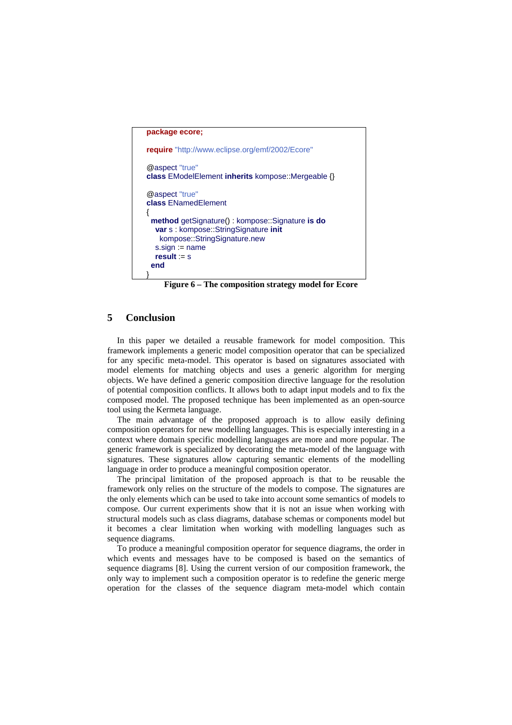```
package ecore;
require "http://www.eclipse.org/emf/2002/Ecore"
@aspect "true"
class EModelElement inherits kompose::Mergeable {}
@aspect "true"
class ENamedElement
{
  method getSignature() : kompose::Signature is do
   var s : kompose::StringSignature init
    kompose::StringSignature.new
   s.sign := name
   result := s
  end 
}
```
**Figure 6 – The composition strategy model for Ecore** 

## **5 Conclusion**

In this paper we detailed a reusable framework for model composition. This framework implements a generic model composition operator that can be specialized for any specific meta-model. This operator is based on signatures associated with model elements for matching objects and uses a generic algorithm for merging objects. We have defined a generic composition directive language for the resolution of potential composition conflicts. It allows both to adapt input models and to fix the composed model. The proposed technique has been implemented as an open-source tool using the Kermeta language.

The main advantage of the proposed approach is to allow easily defining composition operators for new modelling languages. This is especially interesting in a context where domain specific modelling languages are more and more popular. The generic framework is specialized by decorating the meta-model of the language with signatures. These signatures allow capturing semantic elements of the modelling language in order to produce a meaningful composition operator.

The principal limitation of the proposed approach is that to be reusable the framework only relies on the structure of the models to compose. The signatures are the only elements which can be used to take into account some semantics of models to compose. Our current experiments show that it is not an issue when working with structural models such as class diagrams, database schemas or components model but it becomes a clear limitation when working with modelling languages such as sequence diagrams.

To produce a meaningful composition operator for sequence diagrams, the order in which events and messages have to be composed is based on the semantics of sequence diagrams [8]. Using the current version of our composition framework, the only way to implement such a composition operator is to redefine the generic merge operation for the classes of the sequence diagram meta-model which contain